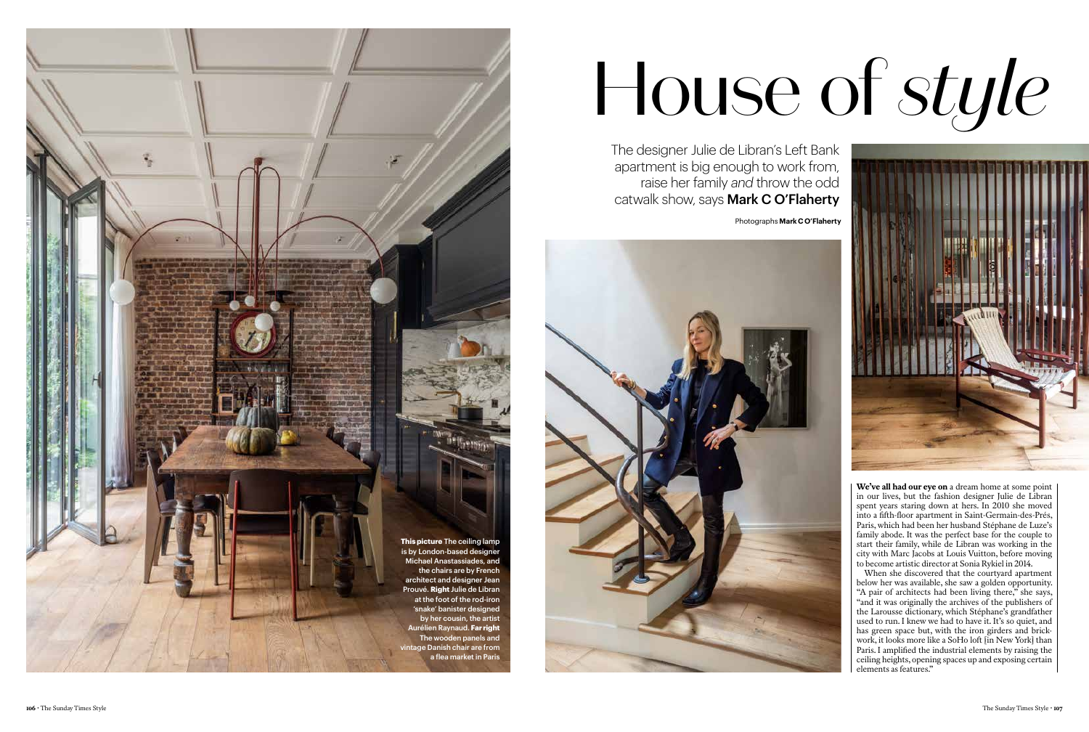**We've all had our eye on** a dream home at some point in our lives, but the fashion designer Julie de Libran spent years staring down at hers. In 2010 she moved into a fifth-floor apartment in Saint-Germain-des-Prés, Paris, which had been her husband Stéphane de Luze's family abode. It was the perfect base for the couple to start their family, while de Libran was working in the city with Marc Jacobs at Louis Vuitton, before moving to become artistic director at Sonia Rykiel in 2014.

When she discovered that the courtyard apartment below her was available, she saw a golden opportunity. "A pair of architects had been living there," she says, "and it was originally the archives of the publishers of the Larousse dictionary, which Stéphane's grandfather used to run. I knew we had to have it. It's so quiet, and has green space but, with the iron girders and brickwork, it looks more like a SoHo loft [in New York] than Paris. I amplified the industrial elements by raising the ceiling heights, opening spaces up and exposing certain elements as features."

## House of *style*

The designer Julie de Libran's Left Bank apartment is big enough to work from, raise her family *and* throw the odd catwalk show, says Mark C O'Flaherty Photographs **Mark C O'Flaherty**





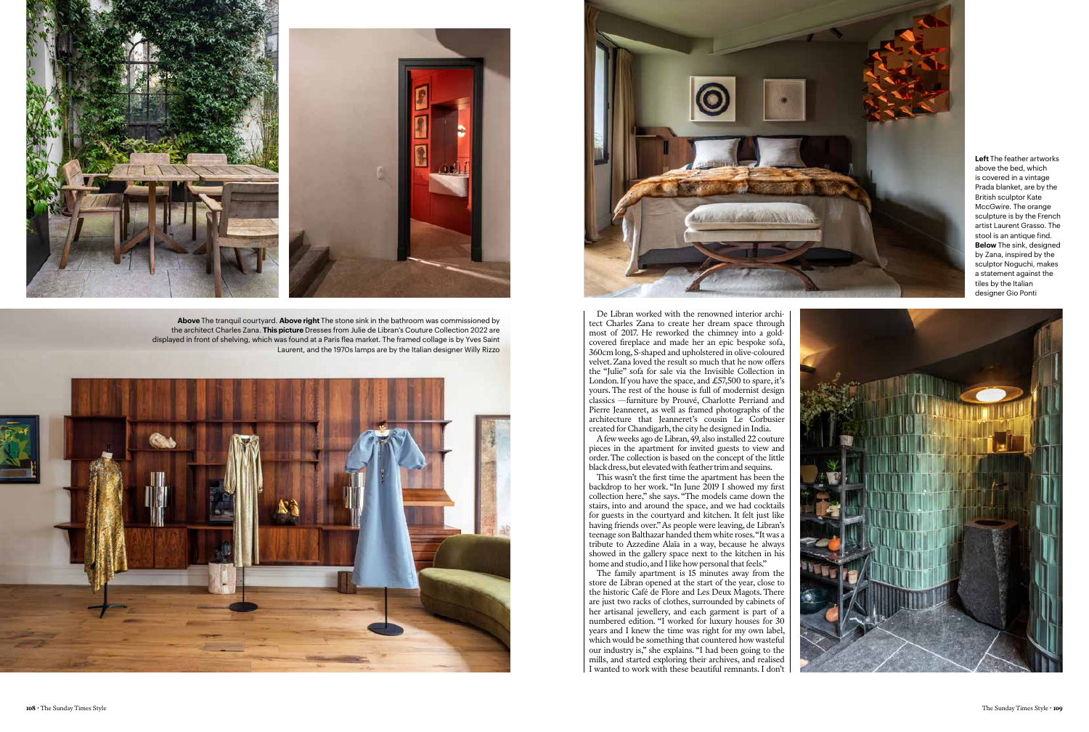

De Libran worked with the renowned interior archi tect Charles Zana to create her dream space through most of 2017. He reworked the chimney into a goldcovered fireplace and made her an epic bespoke sofa, 360cm long, S-shaped and upholstered in olive-coloured velvet. Zana loved the result so much that he now offers the "Julie" sofa for sale via the Invisible Collection in London. If you have the space, and £57,500 to spare, it's yours. The rest of the house is full of modernist design classics —furniture by Prouvé, Charlotte Perriand and Pierre Jeanneret, as well as framed photographs of the architecture that Jeanneret's cousin Le Corbusier created for Chandigarh, the city he designed in India.

A few weeks ago de Libran, 49, also installed 22 couture pieces in the apartment for invited guests to view and order. The collection is based on the concept of the little black dress, but elevated with feather trim and sequins.

This wasn't the first time the apartment has been the backdrop to her work. "In June 2019 I showed my first collection here," she says. "The models came down the stairs, into and around the space, and we had cocktails for guests in the courtyard and kitchen. It felt just like having friends over." As people were leaving, de Libran's teenage son Balthazar handed them white roses. "It was a tribute to Azzedine Alaïa in a way, because he always showed in the gallery space next to the kitchen in his home and studio, and I like how personal that feels."

The family apartment is 15 minutes away from the store de Libran opened at the start of the year, close to the historic Café de Flore and Les Deux Magots. There are just two racks of clothes, surrounded by cabinets of her artisanal jewellery, and each garment is part of a numbered edition. "I worked for luxury houses for 30 years and I knew the time was right for my own label, which would be something that countered how wasteful our industry is," she explains. "I had been going to the mills, and started exploring their archives, and realised I wanted to work with these beautiful remnants. I don't



**Left** The feather artworks above the bed, which is covered in a vintage Prada blanket, are by the British sculptor Kate MccGwire. The orange sculpture is by the French artist Laurent Grasso. The stool is an antique find. **Below** The sink, designed by Zana, inspired by the sculptor Noguchi, makes a statement against the tiles by the Italian designer Gio Ponti



**Above** The tranquil courtyard. **Above right** The stone sink in the bathroom was commissioned by the architect Charles Zana. **This picture** Dresses from Julie de Libran's Couture Collection 2022 are displayed in front of shelving, which was found at a Paris flea market. The framed collage is by Yves Saint Laurent, and the 1970s lamps are by the Italian designer Willy Rizzo